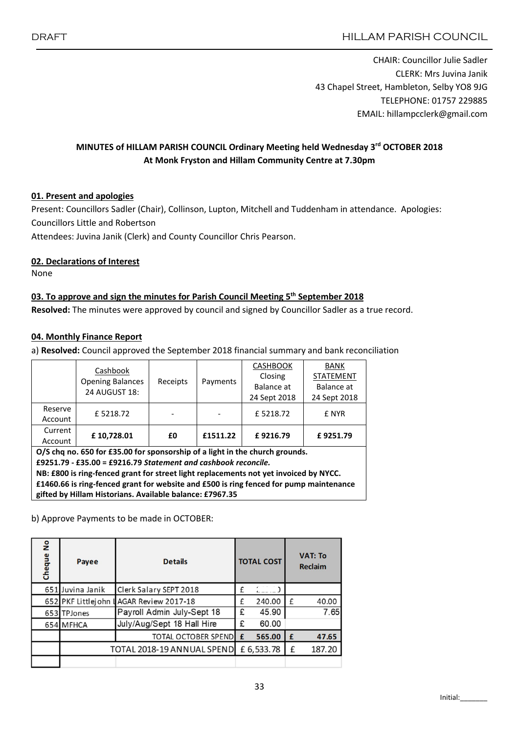CHAIR: Councillor Julie Sadler CLERK: Mrs Juvina Janik 43 Chapel Street, Hambleton, Selby YO8 9JG TELEPHONE: 01757 229885 EMAIL: hillampcclerk@gmail.com

# MINUTES of HILLAM PARISH COUNCIL Ordinary Meeting held Wednesday 3rd OCTOBER 2018 At Monk Fryston and Hillam Community Centre at 7.30pm

## 01. Present and apologies

Present: Councillors Sadler (Chair), Collinson, Lupton, Mitchell and Tuddenham in attendance. Apologies: Councillors Little and Robertson

Attendees: Juvina Janik (Clerk) and County Councillor Chris Pearson.

### 02. Declarations of Interest

None

# 03. To approve and sign the minutes for Parish Council Meeting 5<sup>th</sup> September 2018

Resolved: The minutes were approved by council and signed by Councillor Sadler as a true record.

#### 04. Monthly Finance Report

a) Resolved: Council approved the September 2018 financial summary and bank reconciliation

|                                                                                                                                                                                                                                                                                                                                                                                               | Cashbook<br><b>Opening Balances</b><br>24 AUGUST 18: | Receipts | Payments | <b>CASHBOOK</b><br>Closing<br>Balance at<br>24 Sept 2018 | <b>BANK</b><br><b>STATEMENT</b><br>Balance at<br>24 Sept 2018<br>£ NYR |  |  |  |  |
|-----------------------------------------------------------------------------------------------------------------------------------------------------------------------------------------------------------------------------------------------------------------------------------------------------------------------------------------------------------------------------------------------|------------------------------------------------------|----------|----------|----------------------------------------------------------|------------------------------------------------------------------------|--|--|--|--|
| Reserve<br>Account                                                                                                                                                                                                                                                                                                                                                                            | £5218.72                                             |          |          | £5218.72                                                 |                                                                        |  |  |  |  |
| Current<br>Account                                                                                                                                                                                                                                                                                                                                                                            | £10,728.01                                           | £0       | £1511.22 | £9216.79                                                 | £9251.79                                                               |  |  |  |  |
| O/S chq no. 650 for £35.00 for sponsorship of a light in the church grounds.<br>£9251.79 - £35.00 = £9216.79 Statement and cashbook reconcile.<br>NB: £800 is ring-fenced grant for street light replacements not yet invoiced by NYCC.<br>£1460.66 is ring-fenced grant for website and £500 is ring fenced for pump maintenance<br>gifted by Hillam Historians. Available balance: £7967.35 |                                                      |          |          |                                                          |                                                                        |  |  |  |  |

b) Approve Payments to be made in OCTOBER:

| å<br>Cheque | Payee                      | <b>Details</b>                          |   | <b>TOTAL COST</b> |             | <b>VAT: To</b><br><b>Reclaim</b> |
|-------------|----------------------------|-----------------------------------------|---|-------------------|-------------|----------------------------------|
|             | 651 Juvina Janik           | Clerk Salary SEPT 2018                  | £ |                   |             |                                  |
|             |                            | 652 PKF Littlejohn LAGAR Review 2017-18 | f | 240.00            | f           | 40.00                            |
|             | 653 TPJones                | Payroll Admin July-Sept 18              | £ | 45.90             |             | 7.65                             |
|             | 654 MFHCA                  | July/Aug/Sept 18 Hall Hire              | £ | 60.00             |             |                                  |
|             |                            | <b>TOTAL OCTOBER SPEND</b>              | £ | 565.00            | $\mathbf f$ | 47.65                            |
|             | TOTAL 2018-19 ANNUAL SPEND |                                         |   | £ 6,533.78        | £           | 187.20                           |
|             |                            |                                         |   |                   |             |                                  |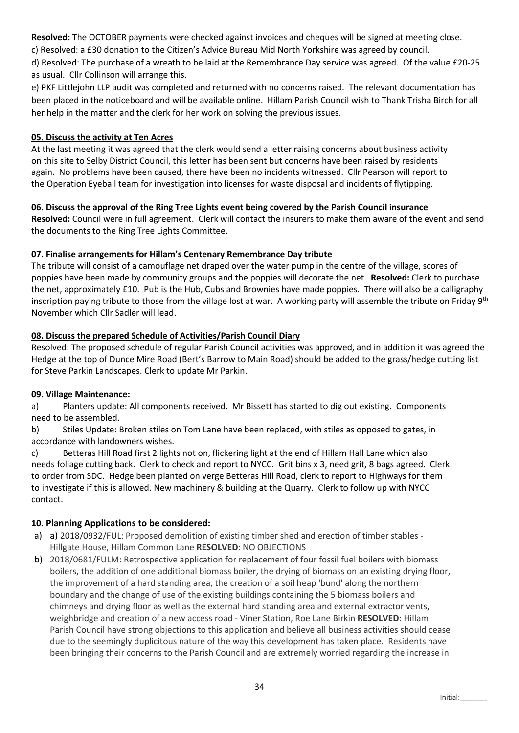Resolved: The OCTOBER payments were checked against invoices and cheques will be signed at meeting close.

c) Resolved: a £30 donation to the Citizen's Advice Bureau Mid North Yorkshire was agreed by council.

d) Resolved: The purchase of a wreath to be laid at the Remembrance Day service was agreed. Of the value £20-25 as usual. Cllr Collinson will arrange this.

e) PKF Littlejohn LLP audit was completed and returned with no concerns raised. The relevant documentation has been placed in the noticeboard and will be available online. Hillam Parish Council wish to Thank Trisha Birch for all her help in the matter and the clerk for her work on solving the previous issues.

### 05. Discuss the activity at Ten Acres

At the last meeting it was agreed that the clerk would send a letter raising concerns about business activity on this site to Selby District Council, this letter has been sent but concerns have been raised by residents again. No problems have been caused, there have been no incidents witnessed. Cllr Pearson will report to the Operation Eyeball team for investigation into licenses for waste disposal and incidents of flytipping.

### 06. Discuss the approval of the Ring Tree Lights event being covered by the Parish Council insurance

Resolved: Council were in full agreement. Clerk will contact the insurers to make them aware of the event and send the documents to the Ring Tree Lights Committee.

## 07. Finalise arrangements for Hillam's Centenary Remembrance Day tribute

The tribute will consist of a camouflage net draped over the water pump in the centre of the village, scores of poppies have been made by community groups and the poppies will decorate the net. Resolved: Clerk to purchase the net, approximately £10. Pub is the Hub, Cubs and Brownies have made poppies. There will also be a calligraphy inscription paying tribute to those from the village lost at war. A working party will assemble the tribute on Friday  $9<sup>th</sup>$ November which Cllr Sadler will lead.

## 08. Discuss the prepared Schedule of Activities/Parish Council Diary

Resolved: The proposed schedule of regular Parish Council activities was approved, and in addition it was agreed the Hedge at the top of Dunce Mire Road (Bert's Barrow to Main Road) should be added to the grass/hedge cutting list for Steve Parkin Landscapes. Clerk to update Mr Parkin.

### 09. Village Maintenance:

a) Planters update: All components received. Mr Bissett has started to dig out existing. Components need to be assembled.

b) Stiles Update: Broken stiles on Tom Lane have been replaced, with stiles as opposed to gates, in accordance with landowners wishes.

c) Betteras Hill Road first 2 lights not on, flickering light at the end of Hillam Hall Lane which also needs foliage cutting back. Clerk to check and report to NYCC. Grit bins x 3, need grit, 8 bags agreed. Clerk to order from SDC. Hedge been planted on verge Betteras Hill Road, clerk to report to Highways for them to investigate if this is allowed. New machinery & building at the Quarry. Clerk to follow up with NYCC contact.

# 10. Planning Applications to be considered:

- a) a) 2018/0932/FUL: Proposed demolition of existing timber shed and erection of timber stables Hillgate House, Hillam Common Lane RESOLVED: NO OBJECTIONS
- b) 2018/0681/FULM: Retrospective application for replacement of four fossil fuel boilers with biomass boilers, the addition of one additional biomass boiler, the drying of biomass on an existing drying floor, the improvement of a hard standing area, the creation of a soil heap 'bund' along the northern boundary and the change of use of the existing buildings containing the 5 biomass boilers and chimneys and drying floor as well as the external hard standing area and external extractor vents, weighbridge and creation of a new access road - Viner Station, Roe Lane Birkin RESOLVED: Hillam Parish Council have strong objections to this application and believe all business activities should cease due to the seemingly duplicitous nature of the way this development has taken place. Residents have been bringing their concerns to the Parish Council and are extremely worried regarding the increase in